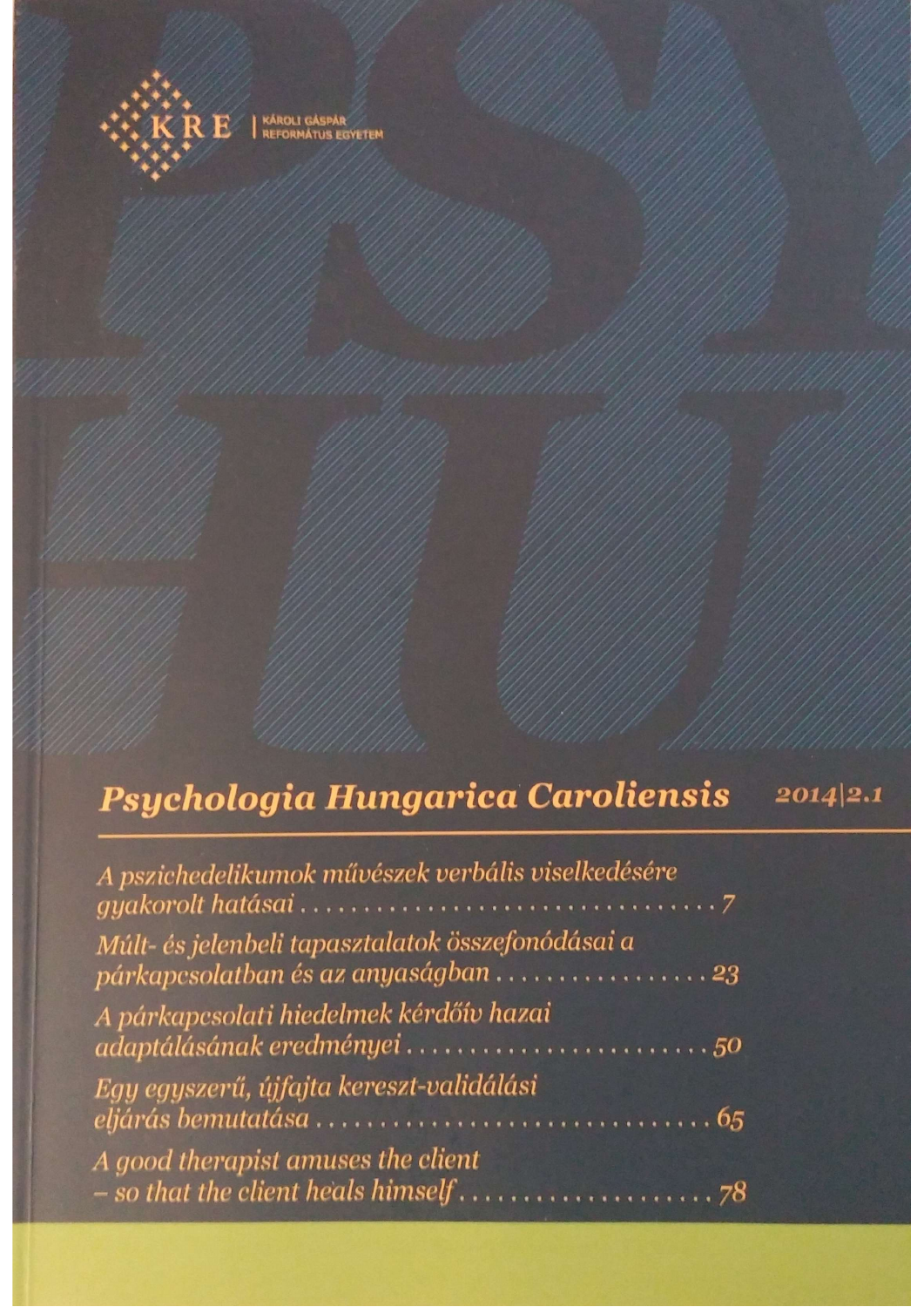

KÁROLI GÁSPÁR<br>REFORMÁTUS EGYETEM

# Psychologia Hungarica Caroliensis  $2014|2.1$

| A pszichedelikumok művészek verbális viselkedésére                                       |
|------------------------------------------------------------------------------------------|
| Múlt- és jelenbeli tapasztalatok összefonódásai a<br>párkapcsolatban és az anyaságban 23 |
| A párkapcsolati hiedelmek kérdőív hazai<br>adaptálásának eredményei 50                   |
| Egy egyszerű, újfajta kereszt-validálási                                                 |
| A good therapist amuses the client                                                       |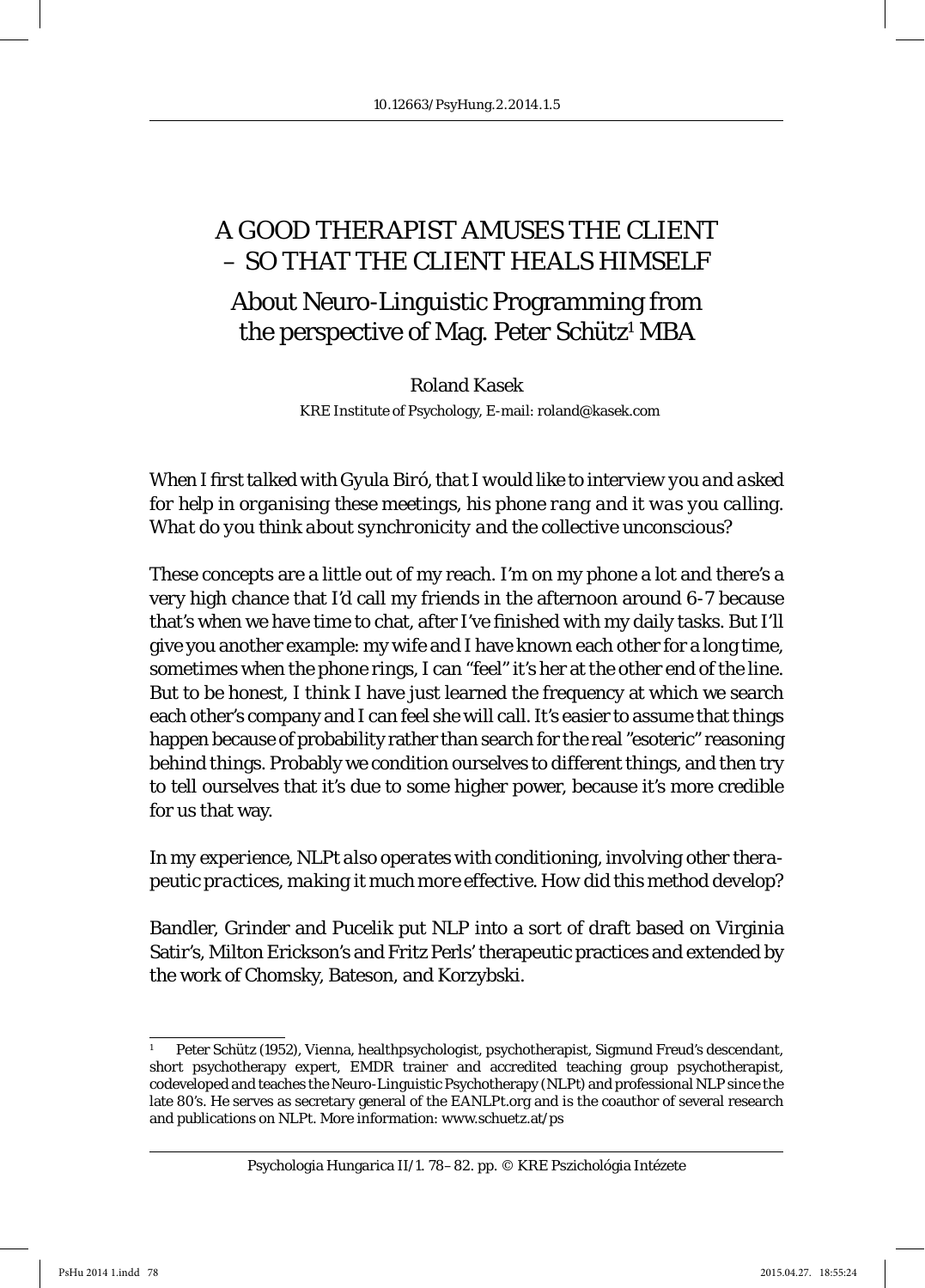# A GOOD THERAPIST AMUSES THE CLIENT – SO THAT THE CLIENT HEALS HIMSELF

# About Neuro-Linguistic Programming from the perspective of Mag. Peter Schütz<sup>1</sup> MBA

Roland Kasek KRE Institute of Psychology, E-mail: roland@kasek.com

*When I fi rst talked with Gyula Biró, that I would like to interview you and asked for help in organising these meetings, his phone rang and it was you calling. What do you think about synchronicity and the collective unconscious?*

These concepts are a little out of my reach. I'm on my phone a lot and there's a very high chance that I'd call my friends in the afternoon around 6-7 because that's when we have time to chat, after I've finished with my daily tasks. But I'll give you another example: my wife and I have known each other for a long time, sometimes when the phone rings, I can "feel" it's her at the other end of the line. But to be honest, I think I have just learned the frequency at which we search each other's company and I can feel she will call. It's easier to assume that things happen because of probability rather than search for the real "esoteric" reasoning behind things. Probably we condition ourselves to different things, and then try to tell ourselves that it's due to some higher power, because it's more credible for us that way.

*In my experience, NLPt also operates with conditioning, involving other therapeutic practices, making it much more effective. How did this method develop?*

Bandler, Grinder and Pucelik put NLP into a sort of draft based on Virginia Satir's, Milton Erickson's and Fritz Perls' therapeutic practices and extended by the work of Chomsky, Bateson, and Korzybski.

<sup>1</sup> Peter Schütz (1952), Vienna, healthpsychologist, psychotherapist, Sigmund Freud's descendant, short psychotherapy expert, EMDR trainer and accredited teaching group psychotherapist, codeveloped and teaches the Neuro-Linguistic Psychotherapy (NLPt) and professional NLP since the late 80's. He serves as secretary general of the EANLPt.org and is the coauthor of several research and publications on NLPt. More information: www.schuetz.at/ps

Psychologia Hungarica II/1. 78–82. pp. © KRE Pszichológia Intézete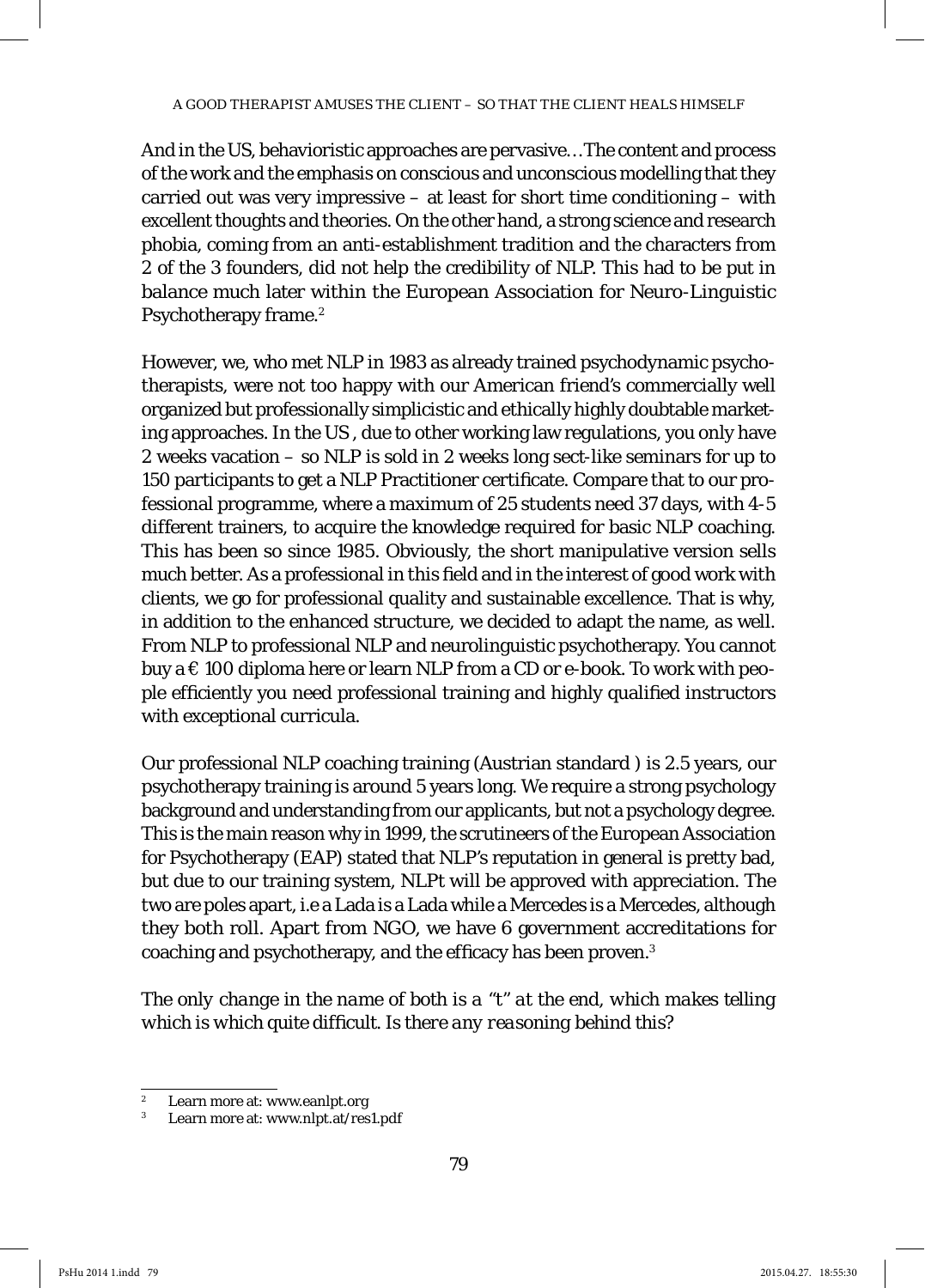And in the US, behavioristic approaches are pervasive… The content and process of the work and the emphasis on conscious and unconscious modelling that they carried out was very impressive – at least for short time conditioning – with excellent thoughts and theories. On the other hand, a strong science and research phobia, coming from an anti-establishment tradition and the characters from 2 of the 3 founders, did not help the credibility of NLP. This had to be put in balance much later within the European Association for Neuro-Linguistic Psychotherapy frame.<sup>2</sup>

However, we, who met NLP in 1983 as already trained psychodynamic psychotherapists, were not too happy with our American friend's commercially well organized but professionally simplicistic and ethically highly doubtable marketing approaches. In the US , due to other working law regulations, you only have 2 weeks vacation – so NLP is sold in 2 weeks long sect-like seminars for up to 150 participants to get a NLP Practitioner certificate. Compare that to our professional programme, where a maximum of 25 students need 37 days, with 4-5 different trainers, to acquire the knowledge required for basic NLP coaching. This has been so since 1985. Obviously, the short manipulative version sells much better. As a professional in this field and in the interest of good work with clients, we go for professional quality and sustainable excellence. That is why, in addition to the enhanced structure, we decided to adapt the name, as well. From NLP to professional NLP and neurolinguistic psychotherapy. You cannot buy a  $\epsilon$  100 diploma here or learn NLP from a CD or e-book. To work with people efficiently you need professional training and highly qualified instructors with exceptional curricula.

Our professional NLP coaching training (Austrian standard ) is 2.5 years, our psychotherapy training is around 5 years long. We require a strong psychology background and understanding from our applicants, but not a psychology degree. This is the main reason why in 1999, the scrutineers of the European Association for Psychotherapy (EAP) stated that NLP's reputation in general is pretty bad, but due to our training system, NLPt will be approved with appreciation. The two are poles apart, i.e a Lada is a Lada while a Mercedes is a Mercedes, although they both roll. Apart from NGO, we have 6 government accreditations for coaching and psychotherapy, and the efficacy has been proven.<sup>3</sup>

*The only change in the name of both is a "t" at the end, which makes telling*  which is which quite difficult. Is there any reasoning behind this?

<sup>2</sup> Learn more at: www.eanlpt.org

<sup>3</sup> Learn more at: www.nlpt.at/res1.pdf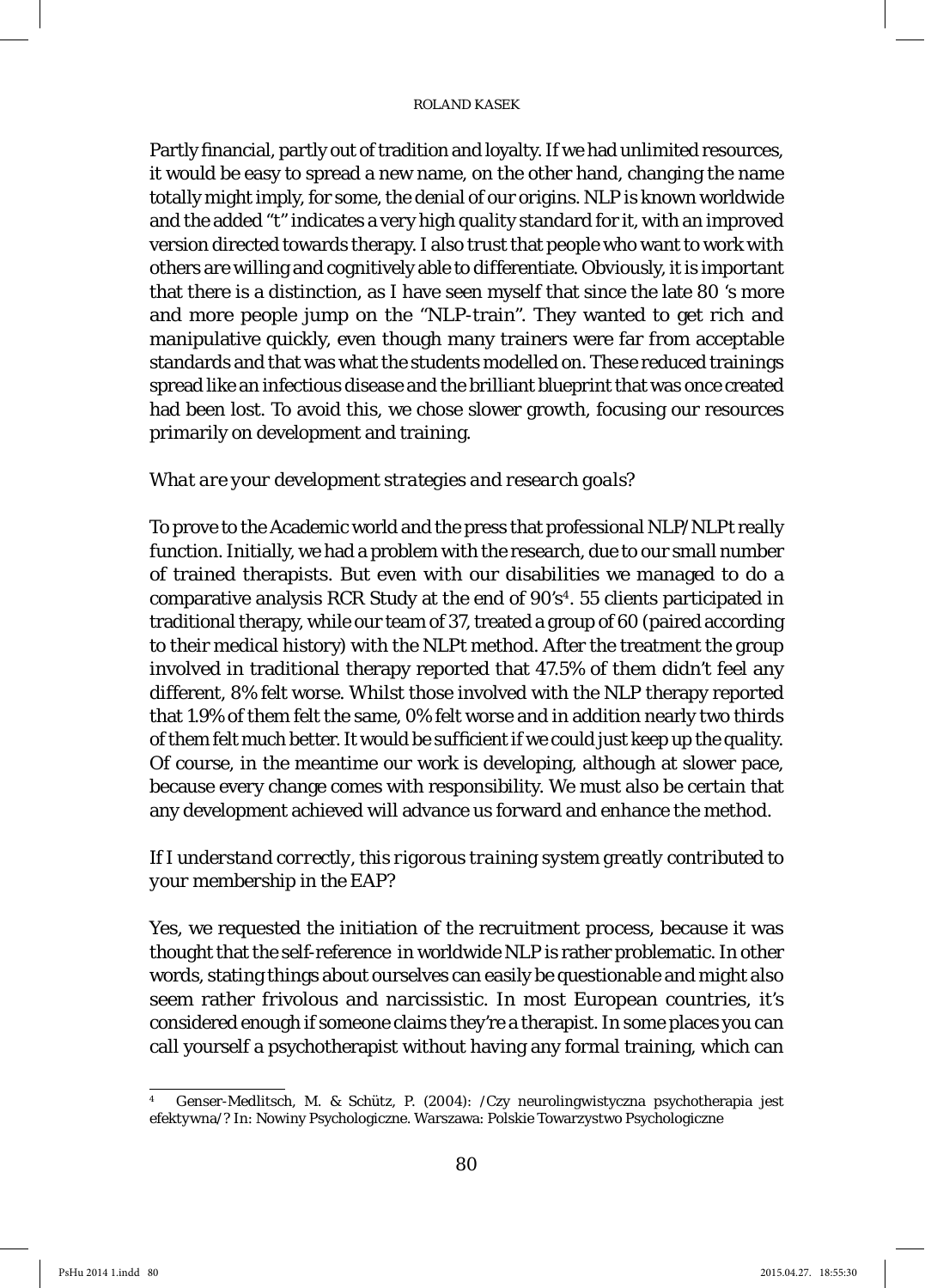#### ROLAND KASEK

Partly financial, partly out of tradition and loyalty. If we had unlimited resources, it would be easy to spread a new name, on the other hand, changing the name totally might imply, for some, the denial of our origins. NLP is known worldwide and the added "t" indicates a very high quality standard for it, with an improved version directed towards therapy. I also trust that people who want to work with others are willing and cognitively able to differentiate. Obviously, it is important that there is a distinction, as I have seen myself that since the late 80 's more and more people jump on the "NLP-train". They wanted to get rich and manipulative quickly, even though many trainers were far from acceptable standards and that was what the students modelled on. These reduced trainings spread like an infectious disease and the brilliant blueprint that was once created had been lost. To avoid this, we chose slower growth, focusing our resources primarily on development and training.

#### *What are your development strategies and research goals?*

To prove to the Academic world and the press that professional NLP/NLPt really function. Initially, we had a problem with the research, due to our small number of trained therapists. But even with our disabilities we managed to do a comparative analysis RCR Study at the end of  $90's<sup>4</sup>$ . 55 clients participated in traditional therapy, while our team of 37, treated a group of 60 (paired according to their medical history) with the NLPt method. After the treatment the group involved in traditional therapy reported that 47.5% of them didn't feel any different, 8% felt worse. Whilst those involved with the NLP therapy reported that 1.9% of them felt the same, 0% felt worse and in addition nearly two thirds of them felt much better. It would be sufficient if we could just keep up the quality. Of course, in the meantime our work is developing, although at slower pace, because every change comes with responsibility. We must also be certain that any development achieved will advance us forward and enhance the method.

### *If I understand correctly, this rigorous training system greatly contributed to your membership in the EAP?*

Yes, we requested the initiation of the recruitment process, because it was thought that the self-reference in worldwide NLP is rather problematic. In other words, stating things about ourselves can easily be questionable and might also seem rather frivolous and narcissistic. In most European countries, it's considered enough if someone claims they're a therapist. In some places you can call yourself a psychotherapist without having any formal training, which can

<sup>4</sup> Genser-Medlitsch, M. & Schütz, P. (2004): /Czy neurolingwistyczna psychotherapia jest efektywna/? In: Nowiny Psychologiczne. Warszawa: Polskie Towarzystwo Psychologiczne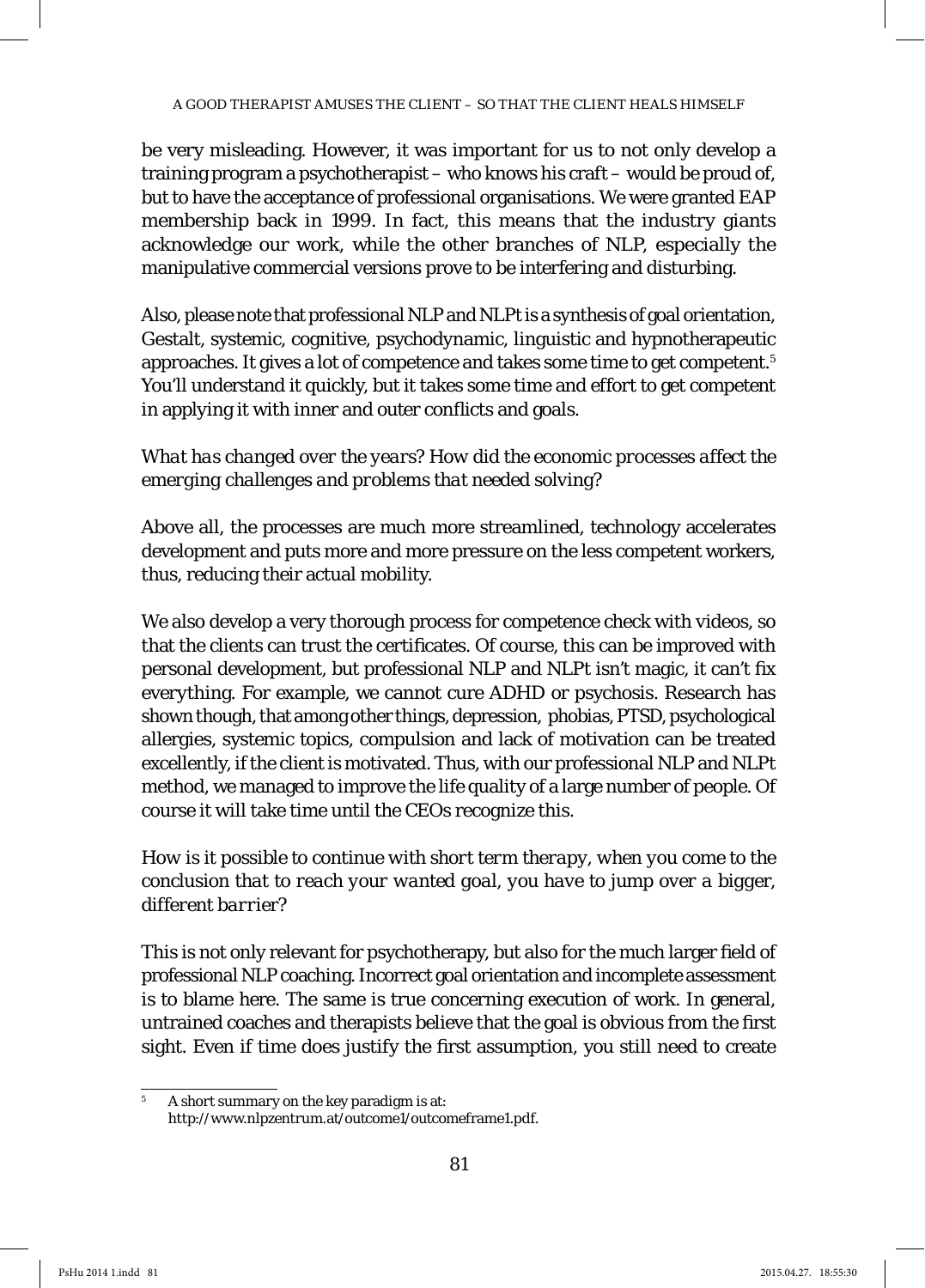be very misleading. However, it was important for us to not only develop a training program a psychotherapist – who knows his craft – would be proud of, but to have the acceptance of professional organisations. We were granted EAP membership back in 1999. In fact, this means that the industry giants acknowledge our work, while the other branches of NLP, especially the manipulative commercial versions prove to be interfering and disturbing.

Also, please note that professional NLP and NLPt is a synthesis of goal orientation, Gestalt, systemic, cognitive, psychodynamic, linguistic and hypnotherapeutic approaches. It gives a lot of competence and takes some time to get competent.5 You'll understand it quickly, but it takes some time and effort to get competent in applying it with inner and outer conflicts and goals.

### *What has changed over the years? How did the economic processes affect the emerging challenges and problems that needed solving?*

Above all, the processes are much more streamlined, technology accelerates development and puts more and more pressure on the less competent workers, thus, reducing their actual mobility.

We also develop a very thorough process for competence check with videos, so that the clients can trust the certificates. Of course, this can be improved with personal development, but professional NLP and NLPt isn't magic, it can't fix everything. For example, we cannot cure ADHD or psychosis. Research has shown though, that among other things, depression, phobias, PTSD, psychological allergies, systemic topics, compulsion and lack of motivation can be treated excellently, if the client is motivated. Thus, with our professional NLP and NLPt method, we managed to improve the life quality of a large number of people. Of course it will take time until the CEOs recognize this.

*How is it possible to continue with short term therapy, when you come to the conclusion that to reach your wanted goal, you have to jump over a bigger, different barrier?*

This is not only relevant for psychotherapy, but also for the much larger field of professional NLP coaching. Incorrect goal orientation and incomplete assessment is to blame here. The same is true concerning execution of work. In general, untrained coaches and therapists believe that the goal is obvious from the first sight. Even if time does justify the first assumption, you still need to create

<sup>5</sup> A short summary on the key paradigm is at: http://www.nlpzentrum.at/outcome1/outcomeframe1.pdf.